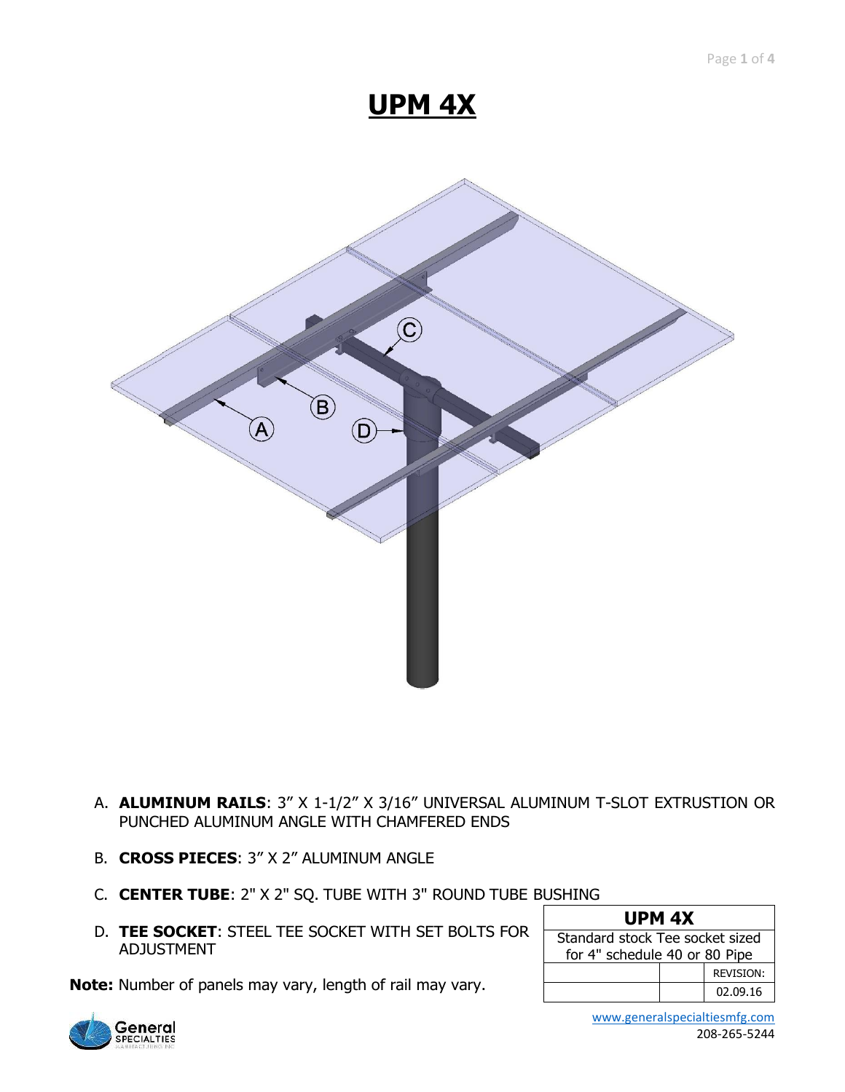# **UPM 4X**



- A. **ALUMINUM RAILS**: 3" X 1-1/2" X 3/16" UNIVERSAL ALUMINUM T-SLOT EXTRUSTION OR PUNCHED ALUMINUM ANGLE WITH CHAMFERED ENDS
- B. **CROSS PIECES**: 3" X 2" ALUMINUM ANGLE
- C. **CENTER TUBE**: 2" X 2" SQ. TUBE WITH 3" ROUND TUBE BUSHING
- D. **TEE SOCKET**: STEEL TEE SOCKET WITH SET BOLTS FOR ADJUSTMENT

**Note:** Number of panels may vary, length of rail may vary.

| UPM <sub>4X</sub>               |  |  |  |
|---------------------------------|--|--|--|
| Standard stock Tee socket sized |  |  |  |
| for 4" schedule 40 or 80 Pipe   |  |  |  |

|  | <b>REVISION:</b> |
|--|------------------|
|  | 02.09.16         |



 [www.generalspecialtiesmfg.com](http://www.generalspecialtiesmfg.com/) 208-265-5244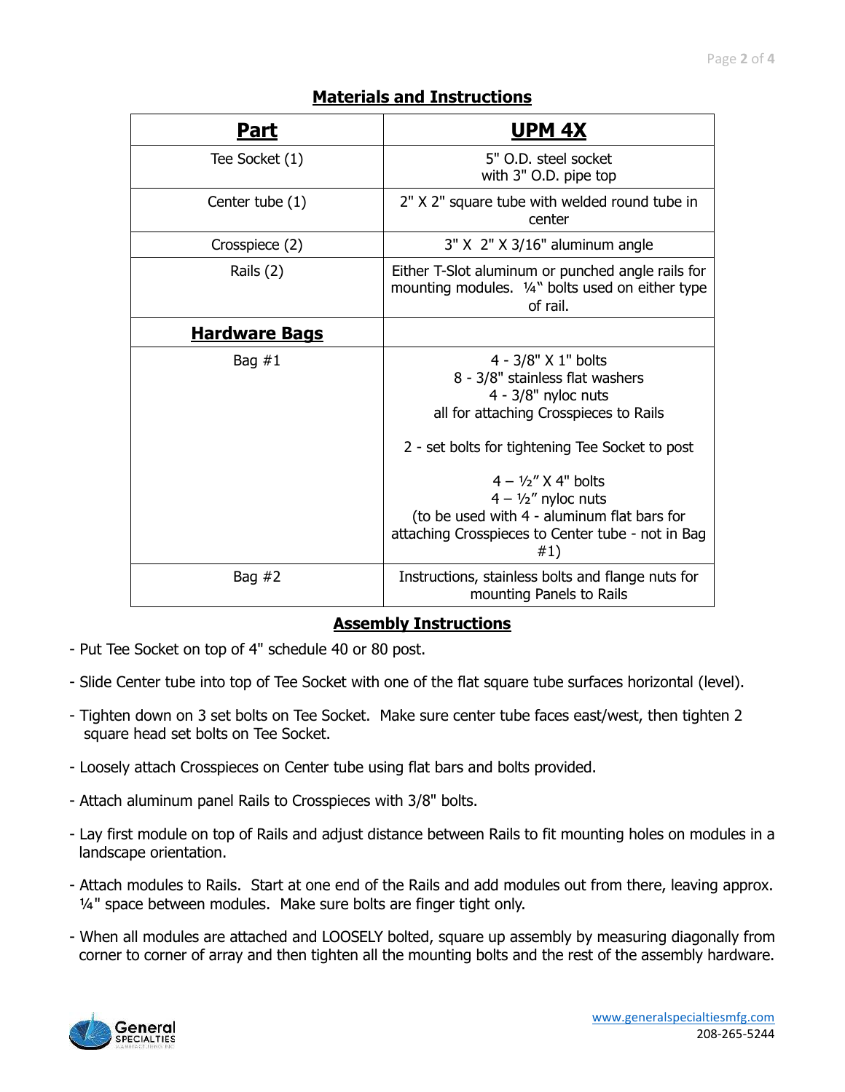| <u>Part</u>          | <b>UPM 4X</b>                                                                                                                                                                                                                                                                                                                                     |
|----------------------|---------------------------------------------------------------------------------------------------------------------------------------------------------------------------------------------------------------------------------------------------------------------------------------------------------------------------------------------------|
| Tee Socket (1)       | 5" O.D. steel socket<br>with 3" O.D. pipe top                                                                                                                                                                                                                                                                                                     |
| Center tube (1)      | 2" X 2" square tube with welded round tube in<br>center                                                                                                                                                                                                                                                                                           |
| Crosspiece (2)       | 3" X 2" X 3/16" aluminum angle                                                                                                                                                                                                                                                                                                                    |
| Rails (2)            | Either T-Slot aluminum or punched angle rails for<br>mounting modules. 1/4" bolts used on either type<br>of rail.                                                                                                                                                                                                                                 |
| <b>Hardware Bags</b> |                                                                                                                                                                                                                                                                                                                                                   |
| Bag $#1$             | 4 - 3/8" X 1" bolts<br>8 - 3/8" stainless flat washers<br>$4 - 3/8"$ nyloc nuts<br>all for attaching Crosspieces to Rails<br>2 - set bolts for tightening Tee Socket to post<br>$4 - 1/2''$ X 4" holts<br>$4 - \frac{1}{2}$ nyloc nuts<br>(to be used with 4 - aluminum flat bars for<br>attaching Crosspieces to Center tube - not in Bag<br>#1) |
| Bag $#2$             | Instructions, stainless bolts and flange nuts for<br>mounting Panels to Rails                                                                                                                                                                                                                                                                     |

#### **Assembly Instructions**

- Put Tee Socket on top of 4" schedule 40 or 80 post.
- Slide Center tube into top of Tee Socket with one of the flat square tube surfaces horizontal (level).
- Tighten down on 3 set bolts on Tee Socket. Make sure center tube faces east/west, then tighten 2 square head set bolts on Tee Socket.
- Loosely attach Crosspieces on Center tube using flat bars and bolts provided.
- Attach aluminum panel Rails to Crosspieces with 3/8" bolts.
- Lay first module on top of Rails and adjust distance between Rails to fit mounting holes on modules in a landscape orientation.
- Attach modules to Rails. Start at one end of the Rails and add modules out from there, leaving approx. ¼" space between modules. Make sure bolts are finger tight only.
- When all modules are attached and LOOSELY bolted, square up assembly by measuring diagonally from corner to corner of array and then tighten all the mounting bolts and the rest of the assembly hardware.

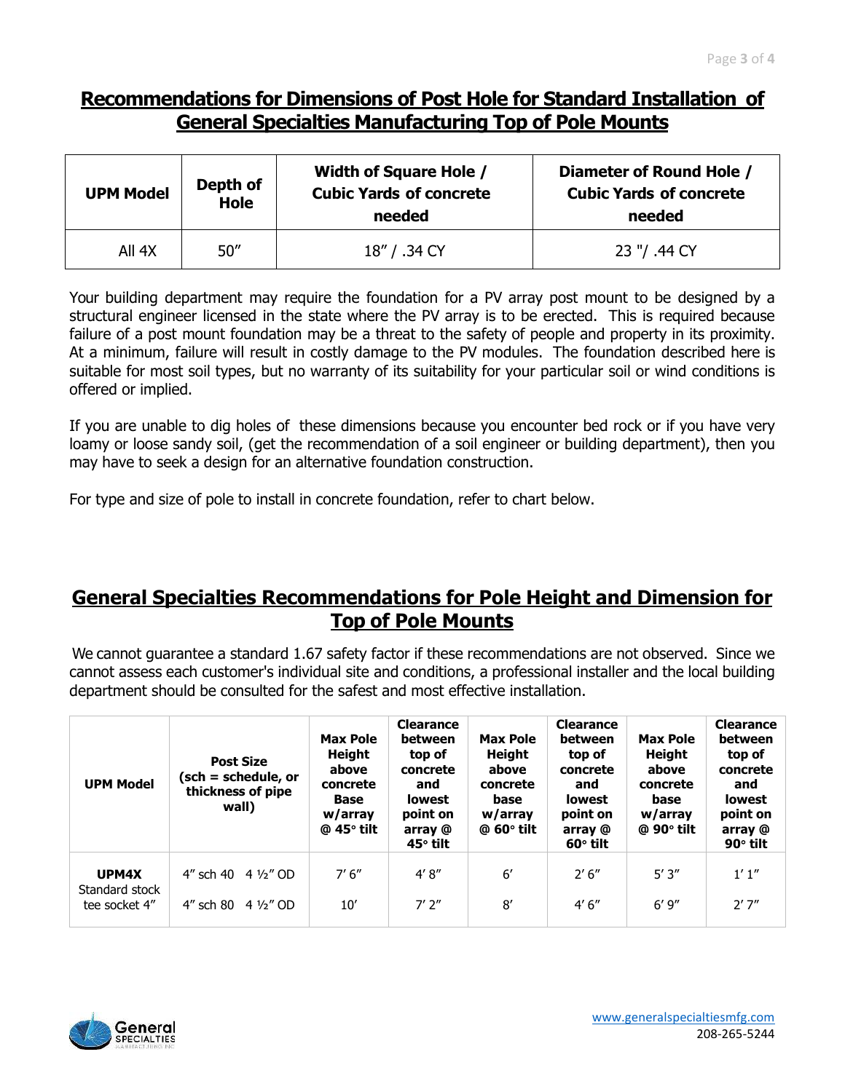### **Recommendations for Dimensions of Post Hole for Standard Installation of General Specialties Manufacturing Top of Pole Mounts**

| <b>UPM Model</b> | Depth of<br><b>Hole</b> | <b>Width of Square Hole /</b><br><b>Cubic Yards of concrete</b><br>needed | Diameter of Round Hole /<br><b>Cubic Yards of concrete</b><br>needed |  |
|------------------|-------------------------|---------------------------------------------------------------------------|----------------------------------------------------------------------|--|
| All 4X           | 50''                    | 18" / .34 CY                                                              | 23 "/ .44 CY                                                         |  |

Your building department may require the foundation for a PV array post mount to be designed by a structural engineer licensed in the state where the PV array is to be erected. This is required because failure of a post mount foundation may be a threat to the safety of people and property in its proximity. At a minimum, failure will result in costly damage to the PV modules. The foundation described here is suitable for most soil types, but no warranty of its suitability for your particular soil or wind conditions is offered or implied.

If you are unable to dig holes of these dimensions because you encounter bed rock or if you have very loamy or loose sandy soil, (get the recommendation of a soil engineer or building department), then you may have to seek a design for an alternative foundation construction.

For type and size of pole to install in concrete foundation, refer to chart below.

### **General Specialties Recommendations for Pole Height and Dimension for Top of Pole Mounts**

We cannot guarantee a standard 1.67 safety factor if these recommendations are not observed. Since we cannot assess each customer's individual site and conditions, a professional installer and the local building department should be consulted for the safest and most effective installation.

| <b>UPM Model</b>                         | <b>Post Size</b><br>(sch = schedule, or<br>thickness of pipe<br>wall) | <b>Max Pole</b><br>Height<br>above<br>concrete<br><b>Base</b><br>w/array<br>$@$ 45 $°$ tilt | <b>Clearance</b><br>between<br>top of<br>concrete<br>and<br><b>lowest</b><br>point on<br>array @<br>45° tilt | <b>Max Pole</b><br>Height<br>above<br>concrete<br>base<br>w/array<br>$@$ 60 $^{\circ}$ tilt | <b>Clearance</b><br>between<br>top of<br>concrete<br>and<br><b>lowest</b><br>point on<br>array @<br>$60^\circ$ tilt | <b>Max Pole</b><br>Height<br>above<br>concrete<br>base<br>w/array<br>$@$ 90 $^{\circ}$ tilt | <b>Clearance</b><br>between<br>top of<br>concrete<br>and<br><b>lowest</b><br>point on<br>array @<br>$90^\circ$ tilt |
|------------------------------------------|-----------------------------------------------------------------------|---------------------------------------------------------------------------------------------|--------------------------------------------------------------------------------------------------------------|---------------------------------------------------------------------------------------------|---------------------------------------------------------------------------------------------------------------------|---------------------------------------------------------------------------------------------|---------------------------------------------------------------------------------------------------------------------|
| UPM4X<br>Standard stock<br>tee socket 4" | 4" sch 40 4 1/2" OD<br>4" sch 80 $4\frac{1}{2}$ " OD                  | 7'6''<br>10'                                                                                | 4' 8''<br>$7'$ $2"$                                                                                          | $6^{\prime}$<br>8'                                                                          | 2'6''<br>4'6''                                                                                                      | 5'3''<br>6'9''                                                                              | 1'1''<br>2'7''                                                                                                      |